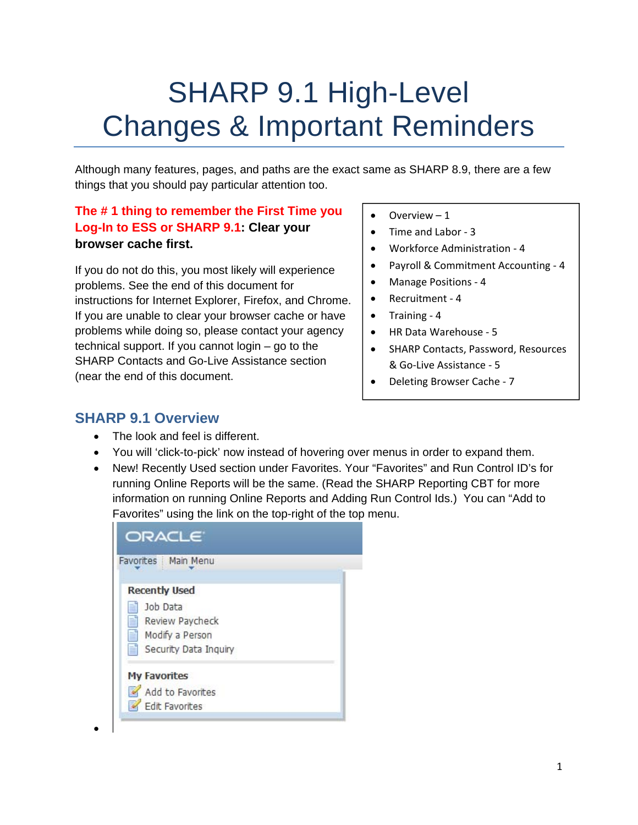# SHARP 9.1 High-Level Changes & Important Reminders

Although many features, pages, and paths are the exact same as SHARP 8.9, there are a few things that you should pay particular attention too.

#### **The # 1 thing to remember the First Time you Log-In to ESS or SHARP 9.1: Clear your browser cache first.**

If you do not do this, you most likely will experience problems. See the end of this document for instructions for Internet Explorer, Firefox, and Chrome. If you are unable to clear your browser cache or have problems while doing so, please contact your agency technical support. If you cannot login – go to the SHARP Contacts and Go-Live Assistance section (near the end of this document.

- Overview 1
- Time and Labor ‐ 3
- Workforce Administration 4
- Payroll & Commitment Accounting 4
- Manage Positions 4
- Recruitment 4
- Training 4
- HR Data Warehouse ‐ 5
- SHARP Contacts, Password, Resources & Go‐Live Assistance ‐ 5
- Deleting Browser Cache 7

#### **SHARP 9.1 Overview**

 $\bullet$ 

- The look and feel is different.
- You will 'click-to-pick' now instead of hovering over menus in order to expand them.
- New! Recently Used section under Favorites. Your "Favorites" and Run Control ID's for running Online Reports will be the same. (Read the SHARP Reporting CBT for more information on running Online Reports and Adding Run Control Ids.) You can "Add to Favorites" using the link on the top-right of the top menu.

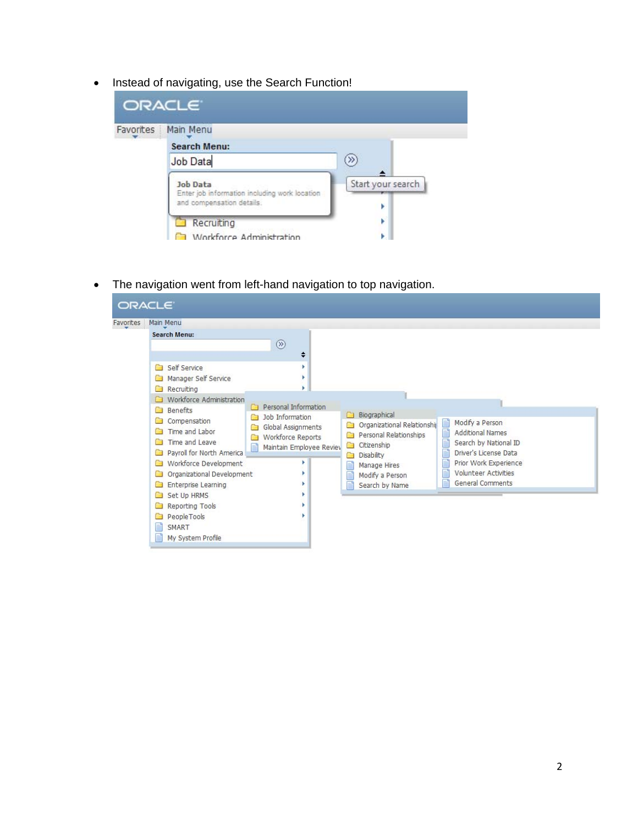• Instead of navigating, use the Search Function!

| ORACLE <sup>®</sup> |                                                                                               |                   |
|---------------------|-----------------------------------------------------------------------------------------------|-------------------|
| Favorites           | Main Menu                                                                                     |                   |
|                     | Search Menu:                                                                                  |                   |
|                     | Job Data                                                                                      | »                 |
|                     | <b>Job Data</b><br>Enter job information including work location<br>and compensation details. | Start your search |
|                     | Recruiting<br>Workforce Administration                                                        | Þ                 |

The navigation went from left-hand navigation to top navigation.

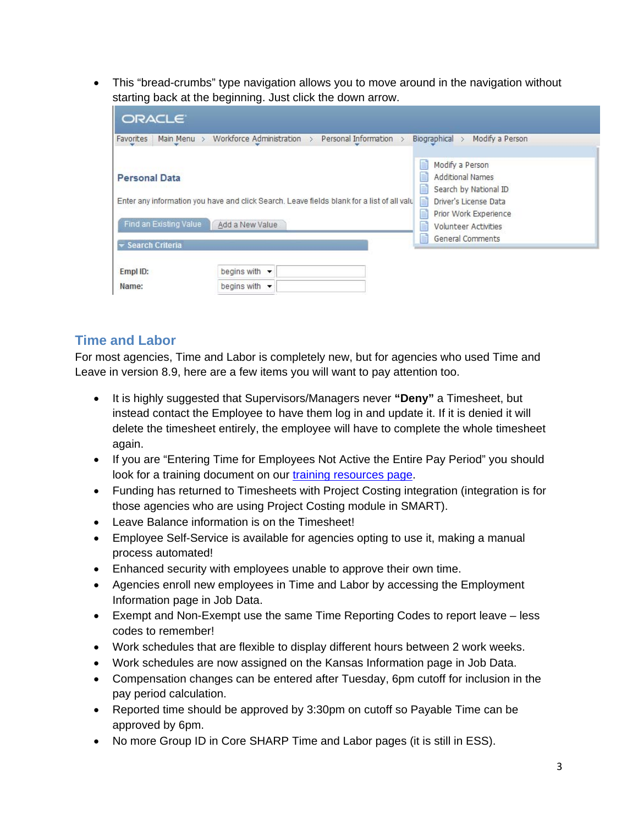This "bread-crumbs" type navigation allows you to move around in the navigation without starting back at the beginning. Just click the down arrow.

| ORACLE <sup>®</sup>                                               |                                                                                                               |                                                                                                                                                                                                             |
|-------------------------------------------------------------------|---------------------------------------------------------------------------------------------------------------|-------------------------------------------------------------------------------------------------------------------------------------------------------------------------------------------------------------|
| Favorites Main Menu >                                             | Workforce Administration > Personal Information >                                                             | Modify a Person<br>Biographical $>$                                                                                                                                                                         |
| <b>Personal Data</b><br>Find an Existing Value<br>Search Criteria | Enter any information you have and click Search. Leave fields blank for a list of all valu<br>Add a New Value | Ħ<br>Modify a Person<br>≣<br><b>Additional Names</b><br>≝<br>Search by National ID<br>Driver's License Data<br>E<br>Prior Work Experience<br>Ë<br><b>Volunteer Activities</b><br>≣<br>≡<br>General Comments |
| Empl ID:<br>Name:                                                 | begins with $\blacktriangleright$<br>begins with $\sqrt{}$                                                    |                                                                                                                                                                                                             |

#### **Time and Labor**

For most agencies, Time and Labor is completely new, but for agencies who used Time and Leave in version 8.9, here are a few items you will want to pay attention too.

- It is highly suggested that Supervisors/Managers never **"Deny"** a Timesheet, but instead contact the Employee to have them log in and update it. If it is denied it will delete the timesheet entirely, the employee will have to complete the whole timesheet again.
- If you are "Entering Time for Employees Not Active the Entire Pay Period" you should look for a training document on our training resources page.
- Funding has returned to Timesheets with Project Costing integration (integration is for those agencies who are using Project Costing module in SMART).
- Leave Balance information is on the Timesheet!
- Employee Self-Service is available for agencies opting to use it, making a manual process automated!
- Enhanced security with employees unable to approve their own time.
- Agencies enroll new employees in Time and Labor by accessing the Employment Information page in Job Data.
- Exempt and Non-Exempt use the same Time Reporting Codes to report leave less codes to remember!
- Work schedules that are flexible to display different hours between 2 work weeks.
- Work schedules are now assigned on the Kansas Information page in Job Data.
- Compensation changes can be entered after Tuesday, 6pm cutoff for inclusion in the pay period calculation.
- Reported time should be approved by 3:30pm on cutoff so Payable Time can be approved by 6pm.
- No more Group ID in Core SHARP Time and Labor pages (it is still in ESS).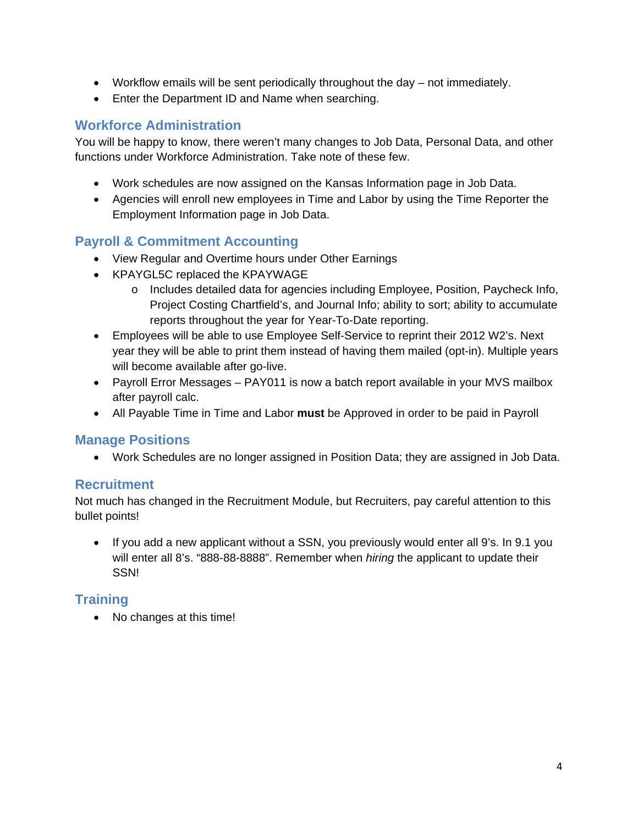- Workflow emails will be sent periodically throughout the day not immediately.
- Enter the Department ID and Name when searching.

#### **Workforce Administration**

You will be happy to know, there weren't many changes to Job Data, Personal Data, and other functions under Workforce Administration. Take note of these few.

- Work schedules are now assigned on the Kansas Information page in Job Data.
- Agencies will enroll new employees in Time and Labor by using the Time Reporter the Employment Information page in Job Data.

### **Payroll & Commitment Accounting**

- View Regular and Overtime hours under Other Earnings
- KPAYGL5C replaced the KPAYWAGE
	- o Includes detailed data for agencies including Employee, Position, Paycheck Info, Project Costing Chartfield's, and Journal Info; ability to sort; ability to accumulate reports throughout the year for Year-To-Date reporting.
- Employees will be able to use Employee Self-Service to reprint their 2012 W2's. Next year they will be able to print them instead of having them mailed (opt-in). Multiple years will become available after go-live.
- Payroll Error Messages PAY011 is now a batch report available in your MVS mailbox after payroll calc.
- All Payable Time in Time and Labor **must** be Approved in order to be paid in Payroll

#### **Manage Positions**

Work Schedules are no longer assigned in Position Data; they are assigned in Job Data.

#### **Recruitment**

Not much has changed in the Recruitment Module, but Recruiters, pay careful attention to this bullet points!

• If you add a new applicant without a SSN, you previously would enter all 9's. In 9.1 you will enter all 8's. "888-88-8888". Remember when *hiring* the applicant to update their SSN!

#### **Training**

• No changes at this time!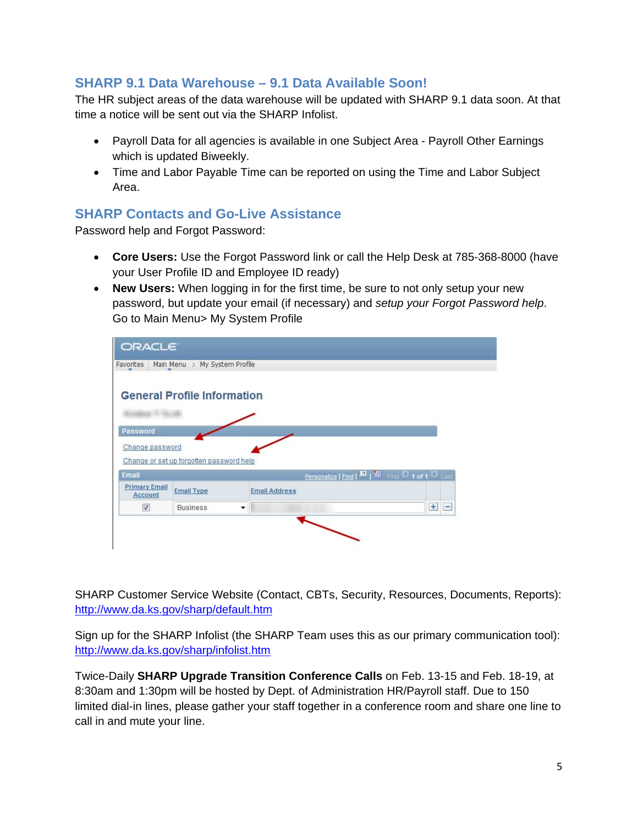#### **SHARP 9.1 Data Warehouse – 9.1 Data Available Soon!**

The HR subject areas of the data warehouse will be updated with SHARP 9.1 data soon. At that time a notice will be sent out via the SHARP Infolist.

- Payroll Data for all agencies is available in one Subject Area Payroll Other Earnings which is updated Biweekly.
- Time and Labor Payable Time can be reported on using the Time and Labor Subject Area.

#### **SHARP Contacts and Go-Live Assistance**

Password help and Forgot Password:

- **Core Users:** Use the Forgot Password link or call the Help Desk at 785-368-8000 (have your User Profile ID and Employee ID ready)
- **New Users:** When logging in for the first time, be sure to not only setup your new password, but update your email (if necessary) and *setup your Forgot Password help*. Go to Main Menu> My System Profile



SHARP Customer Service Website (Contact, CBTs, Security, Resources, Documents, Reports): http://www.da.ks.gov/sharp/default.htm

Sign up for the SHARP Infolist (the SHARP Team uses this as our primary communication tool): http://www.da.ks.gov/sharp/infolist.htm

Twice-Daily **SHARP Upgrade Transition Conference Calls** on Feb. 13-15 and Feb. 18-19, at 8:30am and 1:30pm will be hosted by Dept. of Administration HR/Payroll staff. Due to 150 limited dial-in lines, please gather your staff together in a conference room and share one line to call in and mute your line.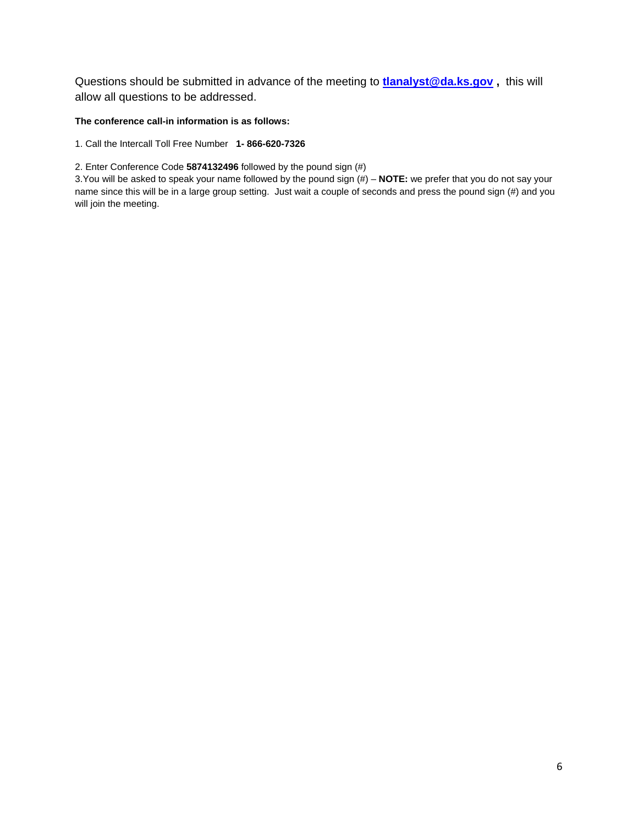Questions should be submitted in advance of the meeting to **tlanalyst@da.ks.gov ,** this will allow all questions to be addressed.

#### **The conference call-in information is as follows:**

1. Call the Intercall Toll Free Number **1- 866-620-7326** 

2. Enter Conference Code **5874132496** followed by the pound sign (#)

3.You will be asked to speak your name followed by the pound sign (#) – **NOTE:** we prefer that you do not say your name since this will be in a large group setting. Just wait a couple of seconds and press the pound sign (#) and you will join the meeting.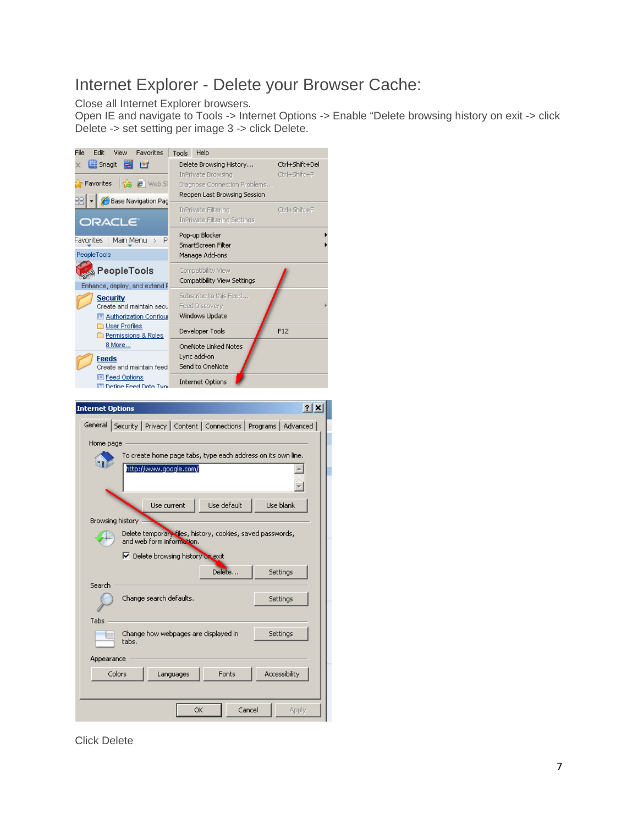## Internet Explorer - Delete your Browser Cache:

Close all Internet Explorer browsers.

Open IE and navigate to Tools -> Internet Options -> Enable "Delete browsing history on exit -> click Delete -> set setting per image 3 -> click Delete.



Click Delete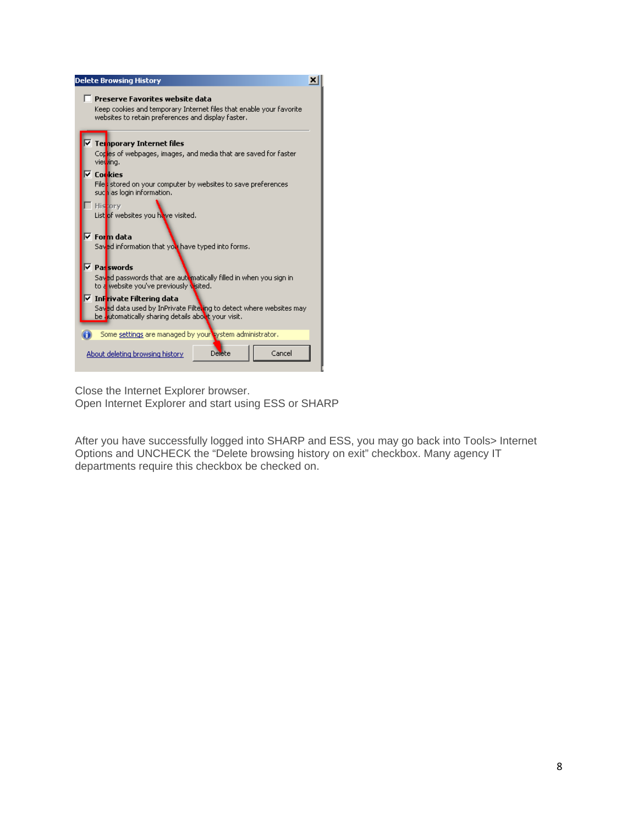

Close the Internet Explorer browser.

Open Internet Explorer and start using ESS or SHARP

After you have successfully logged into SHARP and ESS, you may go back into Tools> Internet Options and UNCHECK the "Delete browsing history on exit" checkbox. Many agency IT departments require this checkbox be checked on.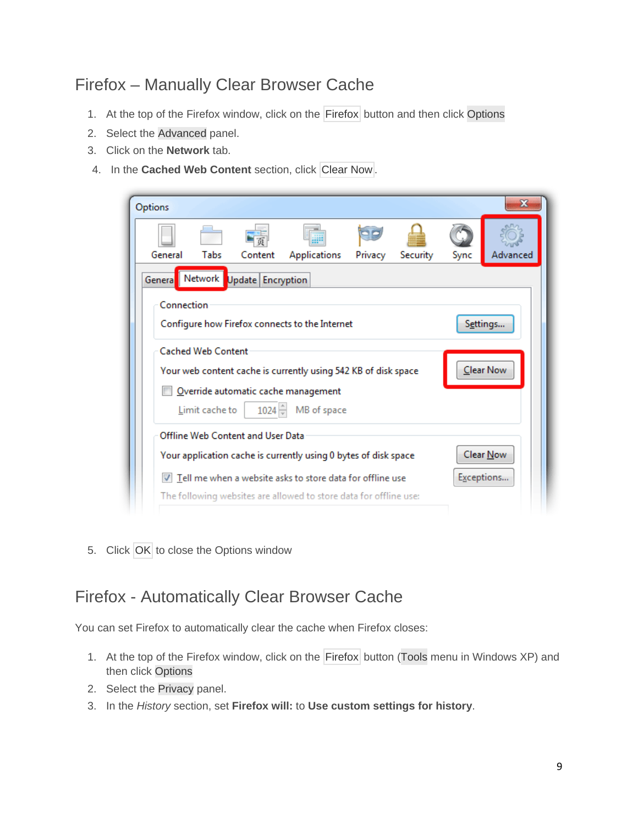## Firefox – Manually Clear Browser Cache

- 1. At the top of the Firefox window, click on the Firefox button and then click Options
- 2. Select the Advanced panel.
- 3. Click on the **Network** tab.
- 4. In the **Cached Web Content** section, click Clear Now.

| Options       |                           |                                   |                                                                          |         |          |      | x          |
|---------------|---------------------------|-----------------------------------|--------------------------------------------------------------------------|---------|----------|------|------------|
|               |                           |                                   |                                                                          |         |          |      |            |
| General       | Tabs                      | Content                           | Applications                                                             | Privacy | Security | Sync | Advanced   |
| <b>Genera</b> | Network                   | Update Encryption                 |                                                                          |         |          |      |            |
| Connection    |                           |                                   |                                                                          |         |          |      |            |
|               |                           |                                   | Configure how Firefox connects to the Internet                           |         |          |      | Settings   |
|               | <b>Cached Web Content</b> |                                   |                                                                          |         |          |      |            |
|               |                           |                                   | Your web content cache is currently using 542 KB of disk space           |         |          |      | Clear Now  |
|               |                           |                                   | Override automatic cache management                                      |         |          |      |            |
|               | Limit cache to            | 1024                              | MB of space                                                              |         |          |      |            |
|               |                           | Offline Web Content and User Data |                                                                          |         |          |      |            |
|               |                           |                                   | Your application cache is currently using 0 bytes of disk space          |         |          |      | Clear Now  |
|               |                           |                                   | $\blacksquare$ Tell me when a website asks to store data for offline use |         |          |      | Exceptions |
|               |                           |                                   |                                                                          |         |          |      |            |

5. Click OK to close the Options window

## Firefox - Automatically Clear Browser Cache

You can set Firefox to automatically clear the cache when Firefox closes:

- 1. At the top of the Firefox window, click on the Firefox button (Tools menu in Windows XP) and then click Options
- 2. Select the Privacy panel.
- 3. In the *History* section, set **Firefox will:** to **Use custom settings for history**.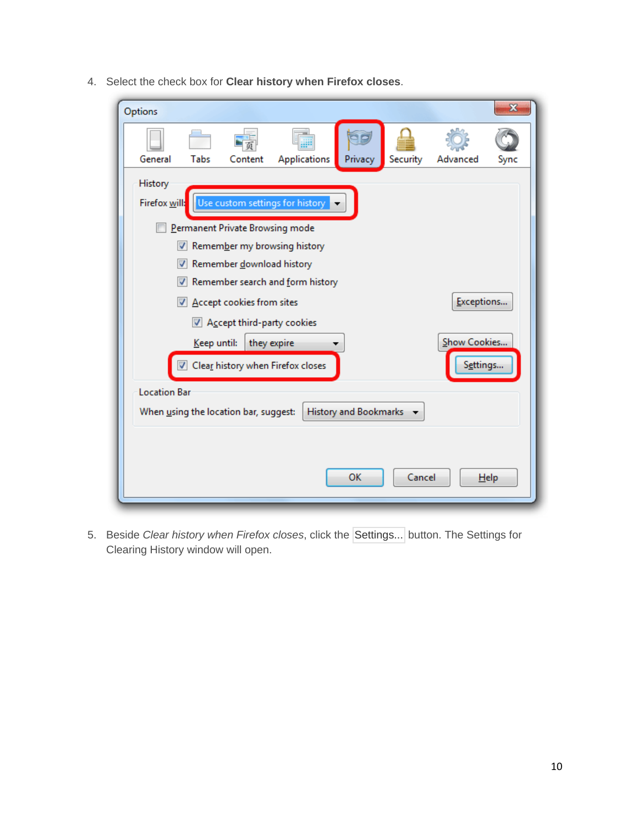4. Select the check box for **Clear history when Firefox closes**.

| Options                                                        |                                         |                                 |                                 |         |          |              | x    |
|----------------------------------------------------------------|-----------------------------------------|---------------------------------|---------------------------------|---------|----------|--------------|------|
|                                                                |                                         |                                 |                                 |         |          |              |      |
| General                                                        | Tabs                                    | Content                         | Applications                    | Privacy | Security | Advanced     | Sync |
| History                                                        |                                         |                                 |                                 |         |          |              |      |
| Firefox will:                                                  |                                         |                                 | Use custom settings for history |         |          |              |      |
|                                                                |                                         | Permanent Private Browsing mode |                                 |         |          |              |      |
|                                                                |                                         |                                 | Remember my browsing history    |         |          |              |      |
| ⊽                                                              |                                         | Remember download history       |                                 |         |          |              |      |
|                                                                | Remember search and form history        |                                 |                                 |         |          |              |      |
|                                                                | Exceptions<br>Accept cookies from sites |                                 |                                 |         |          |              |      |
|                                                                |                                         | Accept third-party cookies      |                                 |         |          |              |      |
|                                                                | Keep until:                             | they expire                     |                                 |         |          | Show Cookies |      |
| Clear history when Firefox closes<br>Settings                  |                                         |                                 |                                 |         |          |              |      |
| <b>Location Bar</b>                                            |                                         |                                 |                                 |         |          |              |      |
| History and Bookmarks<br>When using the location bar, suggest: |                                         |                                 |                                 |         |          |              |      |
|                                                                |                                         |                                 |                                 |         |          |              |      |
|                                                                |                                         |                                 |                                 | OK      | Cancel   |              | Help |
|                                                                |                                         |                                 |                                 |         |          |              |      |

5. Beside *Clear history when Firefox closes*, click the Settings... button. The Settings for Clearing History window will open.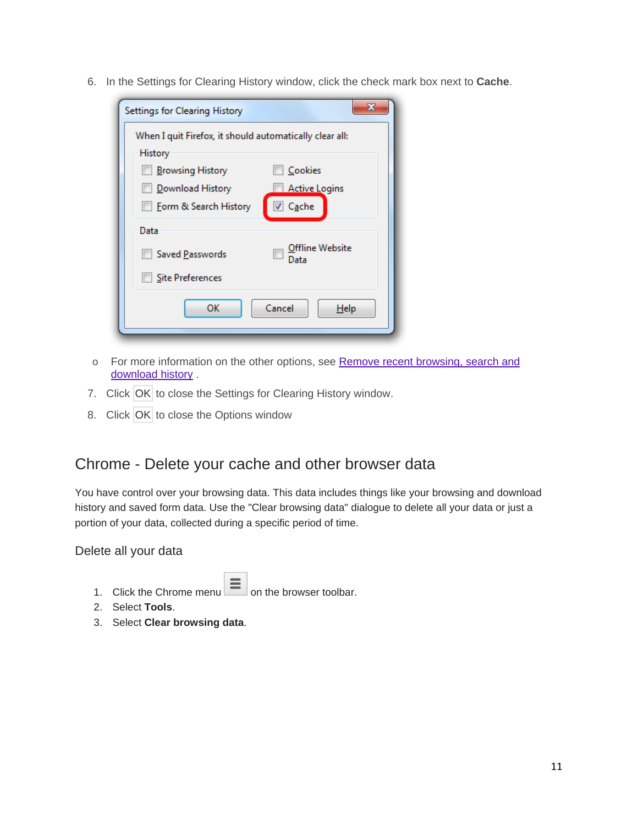6. In the Settings for Clearing History window, click the check mark box next to **Cache**.

| Settings for Clearing History                           | x                       |
|---------------------------------------------------------|-------------------------|
| When I quit Firefox, it should automatically clear all: |                         |
| History                                                 |                         |
| <b>Browsing History</b>                                 | Cookies                 |
| Download History                                        | <b>Active Logins</b>    |
| Form & Search History                                   | Cache                   |
| Data                                                    |                         |
| Saved Passwords                                         | Offline Website<br>Data |
| <b>Site Preferences</b>                                 |                         |
| ОΚ                                                      | Cancel<br>Help          |

- o For more information on the other options, see Remove recent browsing, search and download history.
- 7. Click OK to close the Settings for Clearing History window.
- 8. Click OK to close the Options window

## Chrome - Delete your cache and other browser data

You have control over your browsing data. This data includes things like your browsing and download history and saved form data. Use the "Clear browsing data" dialogue to delete all your data or just a portion of your data, collected during a specific period of time.

Delete all your data

- 1. Click the Chrome menu  $\equiv$  on the browser toolbar.
- 2. Select **Tools**.
- 3. Select **Clear browsing data**.